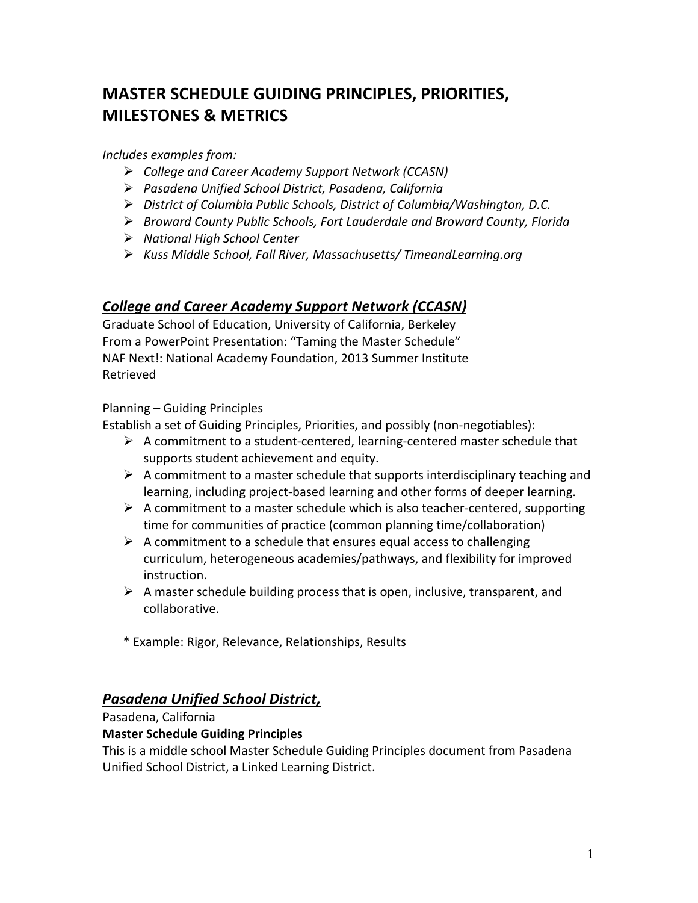# **MASTER'SCHEDULE'GUIDING'PRINCIPLES,'PRIORITIES,' MILESTONES'&'METRICS'''**

#### *Includes!examples!from:*

- *College!and!Career!Academy!Support!Network!(CCASN)!*
- Pasadena Unified School District, Pasadena, California
- *District of Columbia Public Schools, District of Columbia/Washington, D.C.*
- **Broward County Public Schools, Fort Lauderdale and Broward County, Florida**
- *National!High!School!Center*
- *Kuss!Middle!School,!Fall!River,!Massachusetts/!TimeandLearning.org!*

## **College and Career Academy Support Network (CCASN)**

Graduate School of Education, University of California, Berkeley From a PowerPoint Presentation: "Taming the Master Schedule" NAF Next!: National Academy Foundation, 2013 Summer Institute Retrieved

Planning - Guiding Principles

Establish a set of Guiding Principles, Priorities, and possibly (non-negotiables):

- $\triangleright$  A commitment to a student-centered, learning-centered master schedule that supports student achievement and equity.
- A commitment to a master schedule that supports interdisciplinary teaching and learning, including project-based learning and other forms of deeper learning.
- $\triangleright$  A commitment to a master schedule which is also teacher-centered, supporting time for communities of practice (common planning time/collaboration)
- $\triangleright$  A commitment to a schedule that ensures equal access to challenging curriculum, heterogeneous academies/pathways, and flexibility for improved instruction.
- $\triangleright$  A master schedule building process that is open, inclusive, transparent, and collaborative.
- \* Example: Rigor, Relevance, Relationships, Results

## *Pasadena&Unified&School&District,&*

#### Pasadena, California

#### **Master Schedule Guiding Principles**

This is a middle school Master Schedule Guiding Principles document from Pasadena Unified School District, a Linked Learning District.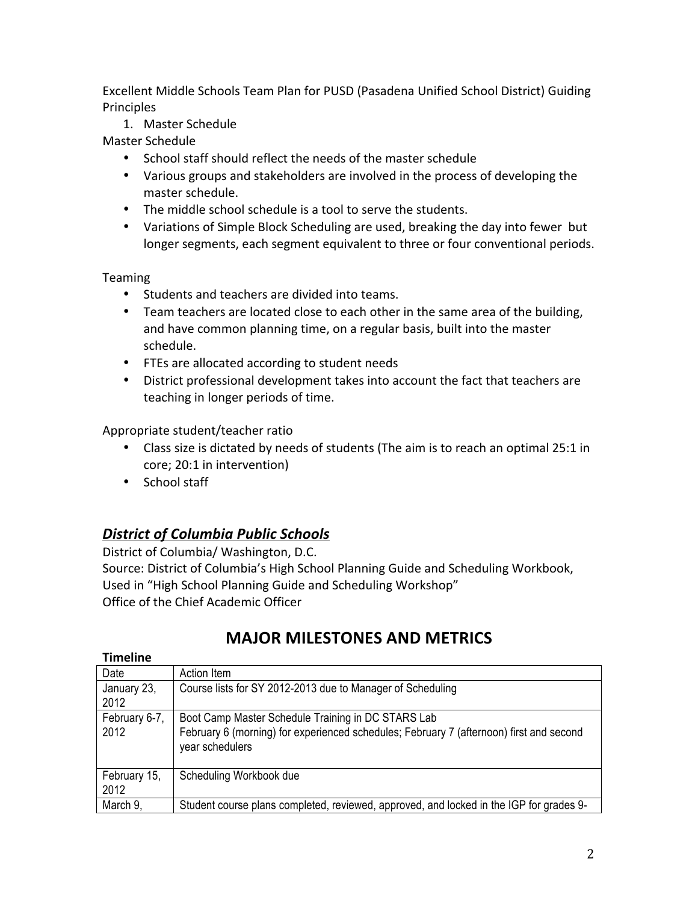Excellent Middle Schools Team Plan for PUSD (Pasadena Unified School District) Guiding Principles

1. Master Schedule

Master Schedule

- School staff should reflect the needs of the master schedule
- Various groups and stakeholders are involved in the process of developing the master schedule.
- The middle school schedule is a tool to serve the students.
- Variations of Simple Block Scheduling are used, breaking the day into fewer but longer segments, each segment equivalent to three or four conventional periods.

Teaming

- Students and teachers are divided into teams.
- Team teachers are located close to each other in the same area of the building, and have common planning time, on a regular basis, built into the master schedule.
- FTEs are allocated according to student needs
- District professional development takes into account the fact that teachers are teaching in longer periods of time.

Appropriate student/teacher ratio

- Class size is dictated by needs of students (The aim is to reach an optimal 25:1 in) core; 20:1 in intervention)
- $\bullet$  School staff

## *District&of&Columbia Public&Schools*

District of Columbia/ Washington, D.C. Source: District of Columbia's High School Planning Guide and Scheduling Workbook, Used in "High School Planning Guide and Scheduling Workshop" Office of the Chief Academic Officer

| <b>Timeline</b>      |                                                                                                            |
|----------------------|------------------------------------------------------------------------------------------------------------|
| Date                 | Action Item                                                                                                |
| January 23,<br>2012  | Course lists for SY 2012-2013 due to Manager of Scheduling                                                 |
| February 6-7,        | Boot Camp Master Schedule Training in DC STARS Lab                                                         |
| 2012                 | February 6 (morning) for experienced schedules; February 7 (afternoon) first and second<br>year schedulers |
| February 15,<br>2012 | Scheduling Workbook due                                                                                    |
| March 9,             | Student course plans completed, reviewed, approved, and locked in the IGP for grades 9-                    |

## **MAJOR'MILESTONES'AND'METRICS'**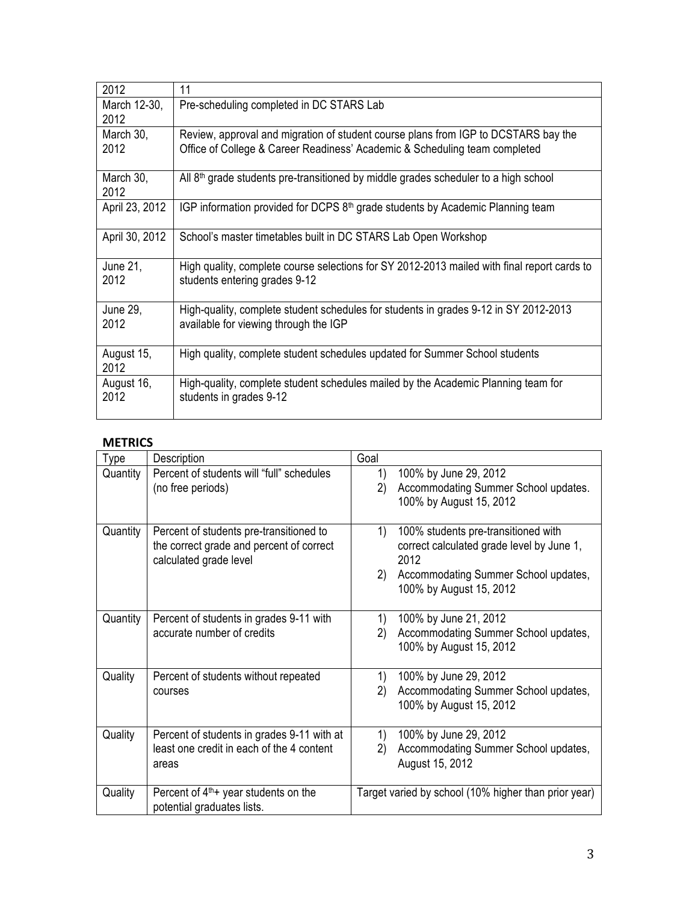| 2012                 | 11                                                                                                                                                               |
|----------------------|------------------------------------------------------------------------------------------------------------------------------------------------------------------|
| March 12-30,<br>2012 | Pre-scheduling completed in DC STARS Lab                                                                                                                         |
| March 30,<br>2012    | Review, approval and migration of student course plans from IGP to DCSTARS bay the<br>Office of College & Career Readiness' Academic & Scheduling team completed |
| March 30,<br>2012    | All 8 <sup>th</sup> grade students pre-transitioned by middle grades scheduler to a high school                                                                  |
| April 23, 2012       | IGP information provided for DCPS 8 <sup>th</sup> grade students by Academic Planning team                                                                       |
| April 30, 2012       | School's master timetables built in DC STARS Lab Open Workshop                                                                                                   |
| June 21,<br>2012     | High quality, complete course selections for SY 2012-2013 mailed with final report cards to<br>students entering grades 9-12                                     |
| June 29,<br>2012     | High-quality, complete student schedules for students in grades 9-12 in SY 2012-2013<br>available for viewing through the IGP                                    |
| August 15,<br>2012   | High quality, complete student schedules updated for Summer School students                                                                                      |
| August 16,<br>2012   | High-quality, complete student schedules mailed by the Academic Planning team for<br>students in grades 9-12                                                     |

## **METRICS'**

| Type     | Description                                                                                                   | Goal                                                                                                                                                                    |  |
|----------|---------------------------------------------------------------------------------------------------------------|-------------------------------------------------------------------------------------------------------------------------------------------------------------------------|--|
| Quantity | Percent of students will "full" schedules<br>(no free periods)                                                | 100% by June 29, 2012<br>1)<br>2)<br>Accommodating Summer School updates.<br>100% by August 15, 2012                                                                    |  |
| Quantity | Percent of students pre-transitioned to<br>the correct grade and percent of correct<br>calculated grade level | 1)<br>100% students pre-transitioned with<br>correct calculated grade level by June 1,<br>2012<br>Accommodating Summer School updates,<br>2)<br>100% by August 15, 2012 |  |
| Quantity | Percent of students in grades 9-11 with<br>accurate number of credits                                         | 1)<br>100% by June 21, 2012<br>Accommodating Summer School updates,<br>2)<br>100% by August 15, 2012                                                                    |  |
| Quality  | Percent of students without repeated<br>courses                                                               | 100% by June 29, 2012<br>1)<br>Accommodating Summer School updates,<br>2)<br>100% by August 15, 2012                                                                    |  |
| Quality  | Percent of students in grades 9-11 with at<br>least one credit in each of the 4 content<br>areas              | 1)<br>100% by June 29, 2012<br>Accommodating Summer School updates,<br>2)<br>August 15, 2012                                                                            |  |
| Quality  | Percent of $4th$ + year students on the<br>potential graduates lists.                                         | Target varied by school (10% higher than prior year)                                                                                                                    |  |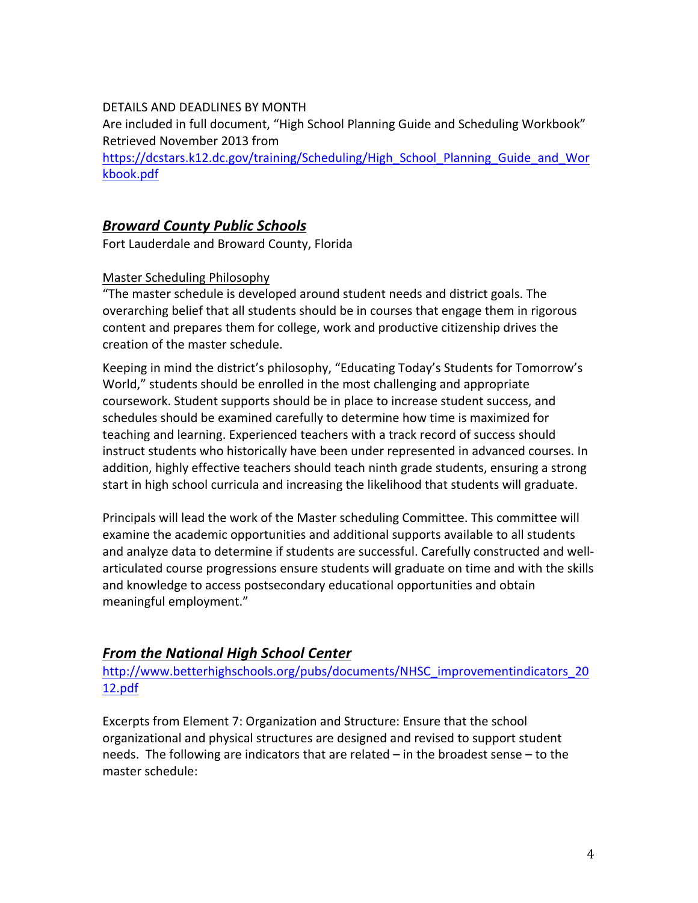#### DETAILS AND DEADLINES BY MONTH

Are included in full document, "High School Planning Guide and Scheduling Workbook" Retrieved November 2013 from

https://dcstars.k12.dc.gov/training/Scheduling/High\_School\_Planning\_Guide\_and\_Wor kbook.pdf

## *Broward&County&Public&Schools&*

Fort Lauderdale and Broward County, Florida

#### Master Scheduling Philosophy

"The master schedule is developed around student needs and district goals. The overarching belief that all students should be in courses that engage them in rigorous content and prepares them for college, work and productive citizenship drives the creation of the master schedule.

Keeping in mind the district's philosophy, "Educating Today's Students for Tomorrow's World," students should be enrolled in the most challenging and appropriate coursework. Student supports should be in place to increase student success, and schedules should be examined carefully to determine how time is maximized for teaching and learning. Experienced teachers with a track record of success should instruct students who historically have been under represented in advanced courses. In addition, highly effective teachers should teach ninth grade students, ensuring a strong start in high school curricula and increasing the likelihood that students will graduate.

Principals will lead the work of the Master scheduling Committee. This committee will examine the academic opportunities and additional supports available to all students and analyze data to determine if students are successful. Carefully constructed and wellarticulated course progressions ensure students will graduate on time and with the skills and knowledge to access postsecondary educational opportunities and obtain meaningful employment."

## **From the National High School Center**

http://www.betterhighschools.org/pubs/documents/NHSC\_improvementindicators\_20 12.pdf

Excerpts from Element 7: Organization and Structure: Ensure that the school organizational and physical structures are designed and revised to support student needs. The following are indicators that are related – in the broadest sense – to the master schedule: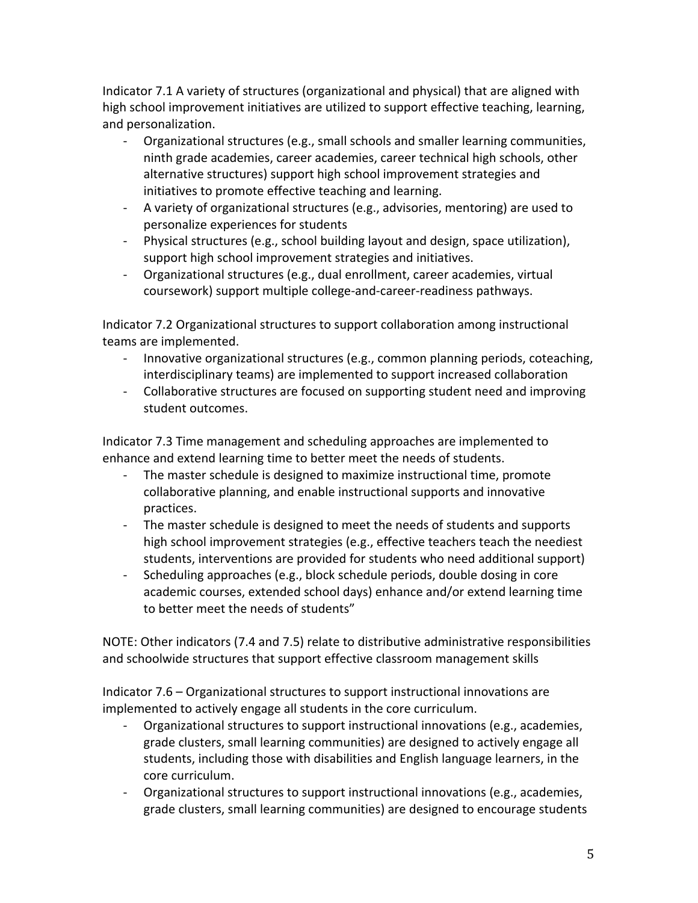Indicator 7.1 A variety of structures (organizational and physical) that are aligned with high school improvement initiatives are utilized to support effective teaching, learning, and personalization.

- Organizational structures (e.g., small schools and smaller learning communities, ninth grade academies, career academies, career technical high schools, other alternative structures) support high school improvement strategies and initiatives to promote effective teaching and learning.
- A variety of organizational structures (e.g., advisories, mentoring) are used to personalize experiences for students
- Physical structures (e.g., school building layout and design, space utilization), support high school improvement strategies and initiatives.
- Organizational structures (e.g., dual enrollment, career academies, virtual coursework) support multiple college-and-career-readiness pathways.

Indicator 7.2 Organizational structures to support collaboration among instructional teams are implemented.

- Innovative organizational structures (e.g., common planning periods, coteaching, interdisciplinary teams) are implemented to support increased collaboration
- Collaborative structures are focused on supporting student need and improving student outcomes.

Indicator 7.3 Time management and scheduling approaches are implemented to enhance and extend learning time to better meet the needs of students.

- The master schedule is designed to maximize instructional time, promote collaborative planning, and enable instructional supports and innovative practices.
- The master schedule is designed to meet the needs of students and supports high school improvement strategies (e.g., effective teachers teach the neediest students, interventions are provided for students who need additional support)
- Scheduling approaches (e.g., block schedule periods, double dosing in core academic courses, extended school days) enhance and/or extend learning time to better meet the needs of students"

NOTE: Other indicators (7.4 and 7.5) relate to distributive administrative responsibilities and schoolwide structures that support effective classroom management skills

Indicator 7.6 – Organizational structures to support instructional innovations are implemented to actively engage all students in the core curriculum.

- Organizational structures to support instructional innovations (e.g., academies, grade clusters, small learning communities) are designed to actively engage all students, including those with disabilities and English language learners, in the core curriculum.
- Organizational structures to support instructional innovations (e.g., academies, grade clusters, small learning communities) are designed to encourage students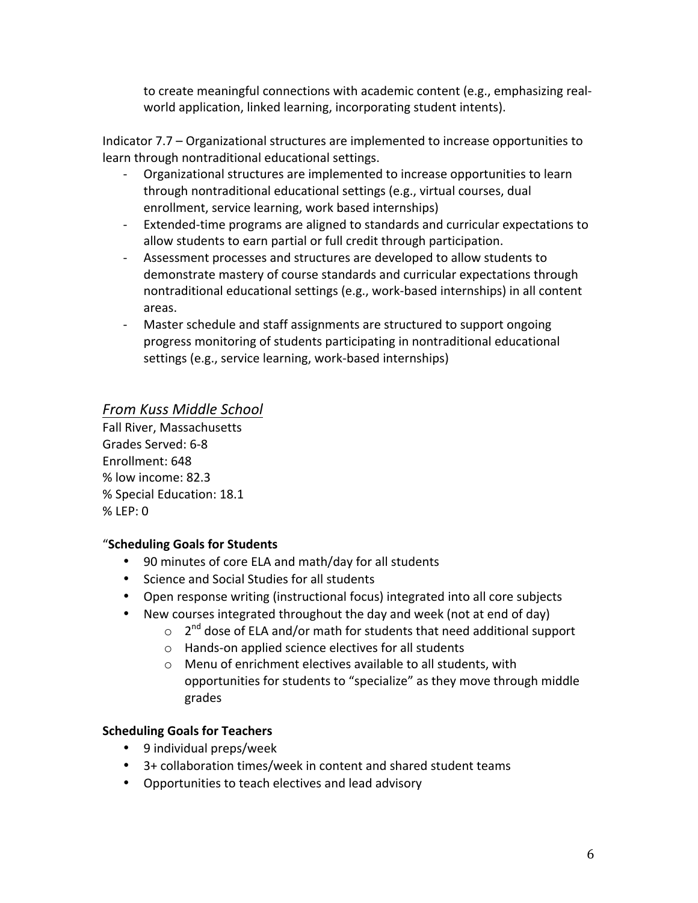to create meaningful connections with academic content (e.g., emphasizing realworld application, linked learning, incorporating student intents).

Indicator  $7.7$  – Organizational structures are implemented to increase opportunities to learn through nontraditional educational settings.

- Organizational structures are implemented to increase opportunities to learn through nontraditional educational settings (e.g., virtual courses, dual enrollment, service learning, work based internships)
- Extended-time programs are aligned to standards and curricular expectations to allow students to earn partial or full credit through participation.
- Assessment processes and structures are developed to allow students to demonstrate mastery of course standards and curricular expectations through nontraditional educational settings (e.g., work-based internships) in all content areas.
- Master schedule and staff assignments are structured to support ongoing progress monitoring of students participating in nontraditional educational settings (e.g., service learning, work-based internships)

## *From!Kuss!Middle!School*

Fall River, Massachusetts Grades Served: 6-8 Enrollment: 648 % low income: 82.3 % Special Education: 18.1 %(LEP:(0

## "**Scheduling'Goals'for'Students**

- 90 minutes of core ELA and math/day for all students
- Science and Social Studies for all students
- Open response writing (instructional focus) integrated into all core subjects
- New courses integrated throughout the day and week (not at end of day)
	- $\circ$  2<sup>nd</sup> dose of ELA and/or math for students that need additional support
	- $\circ$  Hands-on applied science electives for all students
	- $\circ$  Menu of enrichment electives available to all students, with opportunities for students to "specialize" as they move through middle grades(

## **Scheduling'Goals'for'Teachers**

- $\cdot$  9 individual preps/week
- $\cdot$  3+ collaboration times/week in content and shared student teams
- Opportunities to teach electives and lead advisory